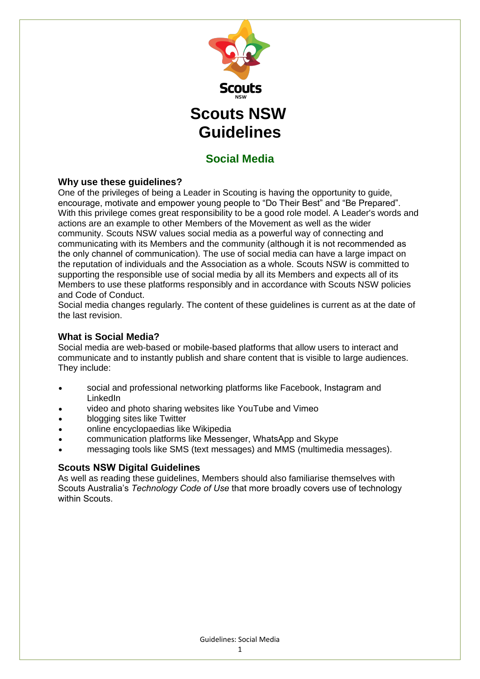

## **Social Media**

## **Why use these guidelines?**

One of the privileges of being a Leader in Scouting is having the opportunity to guide, encourage, motivate and empower young people to "Do Their Best" and "Be Prepared". With this privilege comes great responsibility to be a good role model. A Leader's words and actions are an example to other Members of the Movement as well as the wider community. Scouts NSW values social media as a powerful way of connecting and communicating with its Members and the community (although it is not recommended as the only channel of communication). The use of social media can have a large impact on the reputation of individuals and the Association as a whole. Scouts NSW is committed to supporting the responsible use of social media by all its Members and expects all of its Members to use these platforms responsibly and in accordance with Scouts NSW policies and Code of Conduct.

Social media changes regularly. The content of these guidelines is current as at the date of the last revision.

## **What is Social Media?**

Social media are web-based or mobile-based platforms that allow users to interact and communicate and to instantly publish and share content that is visible to large audiences. They include:

- social and professional networking platforms like Facebook, Instagram and LinkedIn
- video and photo sharing websites like YouTube and Vimeo
- blogging sites like Twitter
- online encyclopaedias like Wikipedia
- communication platforms like Messenger, WhatsApp and Skype
- messaging tools like SMS (text messages) and MMS (multimedia messages).

## **Scouts NSW Digital Guidelines**

As well as reading these guidelines, Members should also familiarise themselves with Scouts Australia's *Technology Code of Use* that more broadly covers use of technology within Scouts.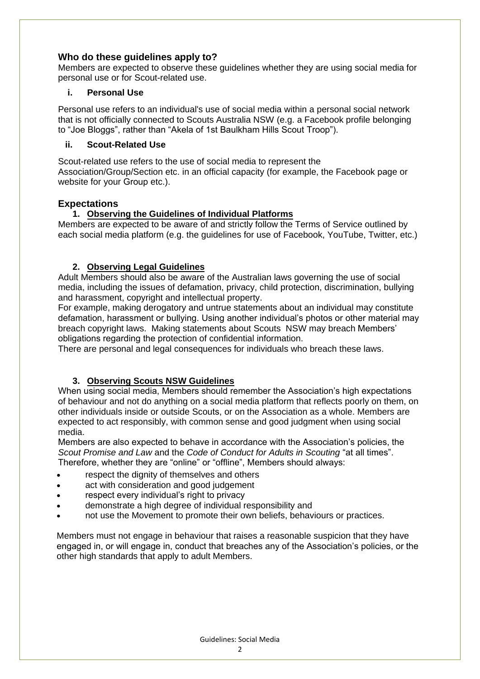## **Who do these guidelines apply to?**

Members are expected to observe these guidelines whether they are using social media for personal use or for Scout-related use.

#### **i. Personal Use**

Personal use refers to an individual's use of social media within a personal social network that is not officially connected to Scouts Australia NSW (e.g. a Facebook profile belonging to "Joe Bloggs", rather than "Akela of 1st Baulkham Hills Scout Troop").

#### **ii. Scout-Related Use**

Scout-related use refers to the use of social media to represent the Association/Group/Section etc. in an official capacity (for example, the Facebook page or website for your Group etc.).

## **Expectations**

## **1. Observing the Guidelines of Individual Platforms**

Members are expected to be aware of and strictly follow the Terms of Service outlined by each social media platform (e.g. the guidelines for use of Facebook, YouTube, Twitter, etc.)

## **2. Observing Legal Guidelines**

Adult Members should also be aware of the Australian laws governing the use of social media, including the issues of defamation, privacy, child protection, discrimination, bullying and harassment, copyright and intellectual property.

For example, making derogatory and untrue statements about an individual may constitute defamation, harassment or bullying. Using another individual's photos or other material may breach copyright laws. Making statements about Scouts NSW may breach Members' obligations regarding the protection of confidential information.

There are personal and legal consequences for individuals who breach these laws.

## **3. Observing Scouts NSW Guidelines**

When using social media, Members should remember the Association's high expectations of behaviour and not do anything on a social media platform that reflects poorly on them, on other individuals inside or outside Scouts, or on the Association as a whole. Members are expected to act responsibly, with common sense and good judgment when using social media.

Members are also expected to behave in accordance with the Association's policies, the *Scout Promise and Law* and the *Code of Conduct for Adults in Scouting* "at all times". Therefore, whether they are "online" or "offline", Members should always:

- respect the dignity of themselves and others
- act with consideration and good judgement
- respect every individual's right to privacy
- demonstrate a high degree of individual responsibility and
- not use the Movement to promote their own beliefs, behaviours or practices.

Members must not engage in behaviour that raises a reasonable suspicion that they have engaged in, or will engage in, conduct that breaches any of the Association's policies, or the other high standards that apply to adult Members.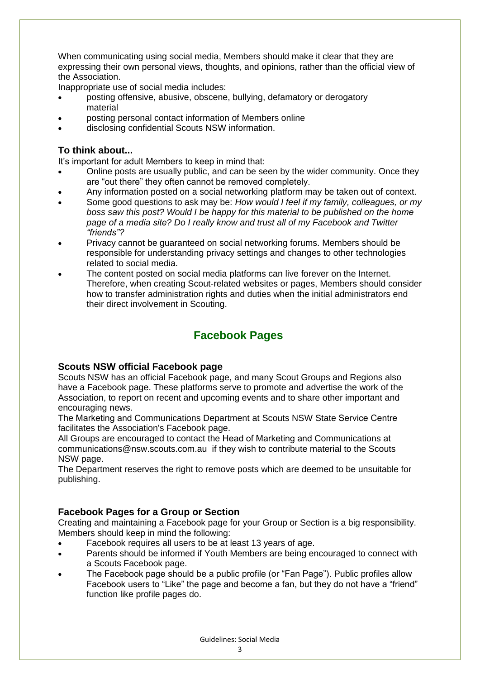When communicating using social media, Members should make it clear that they are expressing their own personal views, thoughts, and opinions, rather than the official view of the Association.

Inappropriate use of social media includes:

- posting offensive, abusive, obscene, bullying, defamatory or derogatory material
- posting personal contact information of Members online
- disclosing confidential Scouts NSW information.

## **To think about...**

It's important for adult Members to keep in mind that:

- Online posts are usually public, and can be seen by the wider community. Once they are "out there" they often cannot be removed completely.
- Any information posted on a social networking platform may be taken out of context.
- Some good questions to ask may be: *How would I feel if my family, colleagues, or my boss saw this post? Would I be happy for this material to be published on the home page of a media site? Do I really know and trust all of my Facebook and Twitter "friends"?*
- Privacy cannot be guaranteed on social networking forums. Members should be responsible for understanding privacy settings and changes to other technologies related to social media.
- The content posted on social media platforms can live forever on the Internet. Therefore, when creating Scout-related websites or pages, Members should consider how to transfer administration rights and duties when the initial administrators end their direct involvement in Scouting.

# **Facebook Pages**

## **Scouts NSW official Facebook page**

Scouts NSW has an official Facebook page, and many Scout Groups and Regions also have a Facebook page. These platforms serve to promote and advertise the work of the Association, to report on recent and upcoming events and to share other important and encouraging news.

The Marketing and Communications Department at Scouts NSW State Service Centre facilitates the Association's Facebook page.

All Groups are encouraged to contact the Head of Marketing and Communications at [communications@nsw.scouts.com.au](mailto:communications@nsw.scouts.com.au) if they wish to contribute material to the Scouts NSW page.

The Department reserves the right to remove posts which are deemed to be unsuitable for publishing.

## **Facebook Pages for a Group or Section**

Creating and maintaining a Facebook page for your Group or Section is a big responsibility. Members should keep in mind the following:

- Facebook requires all users to be at least 13 years of age.
- Parents should be informed if Youth Members are being encouraged to connect with a Scouts Facebook page.
- The Facebook page should be a public profile (or "Fan Page"). Public profiles allow Facebook users to "Like" the page and become a fan, but they do not have a "friend" function like profile pages do.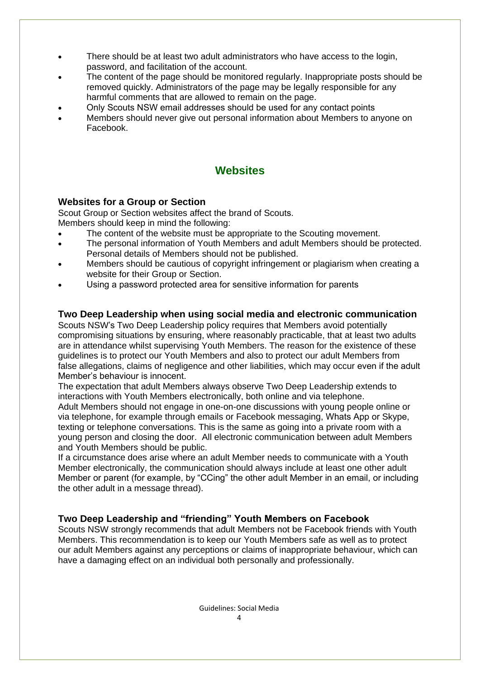- There should be at least two adult administrators who have access to the login, password, and facilitation of the account.
- The content of the page should be monitored regularly. Inappropriate posts should be removed quickly. Administrators of the page may be legally responsible for any harmful comments that are allowed to remain on the page.
- Only Scouts NSW email addresses should be used for any contact points
- Members should never give out personal information about Members to anyone on Facebook.

## **Websites**

## **Websites for a Group or Section**

Scout Group or Section websites affect the brand of Scouts. Members should keep in mind the following:

- The content of the website must be appropriate to the Scouting movement.
- The personal information of Youth Members and adult Members should be protected. Personal details of Members should not be published.
- Members should be cautious of copyright infringement or plagiarism when creating a website for their Group or Section.
- Using a password protected area for sensitive information for parents

#### **Two Deep Leadership when using social media and electronic communication**

Scouts NSW's Two Deep Leadership policy requires that Members avoid potentially compromising situations by ensuring, where reasonably practicable, that at least two adults are in attendance whilst supervising Youth Members. The reason for the existence of these guidelines is to protect our Youth Members and also to protect our adult Members from false allegations, claims of negligence and other liabilities, which may occur even if the adult Member's behaviour is innocent.

The expectation that adult Members always observe Two Deep Leadership extends to interactions with Youth Members electronically, both online and via telephone.

Adult Members should not engage in one-on-one discussions with young people online or via telephone, for example through emails or Facebook messaging, Whats App or Skype, texting or telephone conversations. This is the same as going into a private room with a young person and closing the door. All electronic communication between adult Members and Youth Members should be public.

If a circumstance does arise where an adult Member needs to communicate with a Youth Member electronically, the communication should always include at least one other adult Member or parent (for example, by "CCing" the other adult Member in an email, or including the other adult in a message thread).

## **Two Deep Leadership and "friending" Youth Members on Facebook**

Scouts NSW strongly recommends that adult Members not be Facebook friends with Youth Members. This recommendation is to keep our Youth Members safe as well as to protect our adult Members against any perceptions or claims of inappropriate behaviour, which can have a damaging effect on an individual both personally and professionally.